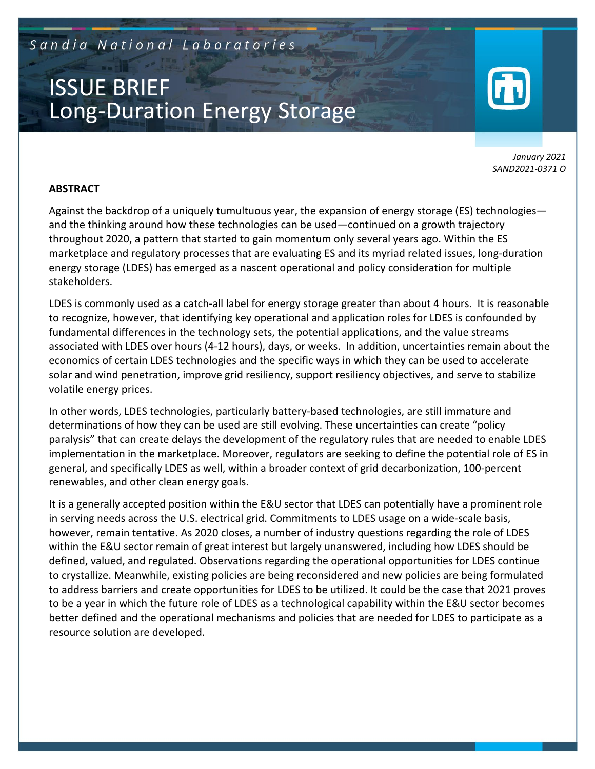Sandia National Laboratories

# ISSUE BRIEF Long-Duration Energy Storage

*January 2021 SAND2021-0371 O*

#### **ABSTRACT**

Against the backdrop of a uniquely tumultuous year, the expansion of energy storage (ES) technologies and the thinking around how these technologies can be used—continued on a growth trajectory throughout 2020, a pattern that started to gain momentum only several years ago. Within the ES marketplace and regulatory processes that are evaluating ES and its myriad related issues, long-duration energy storage (LDES) has emerged as a nascent operational and policy consideration for multiple stakeholders.

LDES is commonly used as a catch-all label for energy storage greater than about 4 hours. It is reasonable to recognize, however, that identifying key operational and application roles for LDES is confounded by fundamental differences in the technology sets, the potential applications, and the value streams associated with LDES over hours (4-12 hours), days, or weeks. In addition, uncertainties remain about the economics of certain LDES technologies and the specific ways in which they can be used to accelerate solar and wind penetration, improve grid resiliency, support resiliency objectives, and serve to stabilize volatile energy prices.

In other words, LDES technologies, particularly battery-based technologies, are still immature and determinations of how they can be used are still evolving. These uncertainties can create "policy paralysis" that can create delays the development of the regulatory rules that are needed to enable LDES implementation in the marketplace. Moreover, regulators are seeking to define the potential role of ES in general, and specifically LDES as well, within a broader context of grid decarbonization, 100-percent renewables, and other clean energy goals.

It is a generally accepted position within the E&U sector that LDES can potentially have a prominent role in serving needs across the U.S. electrical grid. Commitments to LDES usage on a wide-scale basis, however, remain tentative. As 2020 closes, a number of industry questions regarding the role of LDES within the E&U sector remain of great interest but largely unanswered, including how LDES should be defined, valued, and regulated. Observations regarding the operational opportunities for LDES continue to crystallize. Meanwhile, existing policies are being reconsidered and new policies are being formulated to address barriers and create opportunities for LDES to be utilized. It could be the case that 2021 proves to be a year in which the future role of LDES as a technological capability within the E&U sector becomes better defined and the operational mechanisms and policies that are needed for LDES to participate as a resource solution are developed.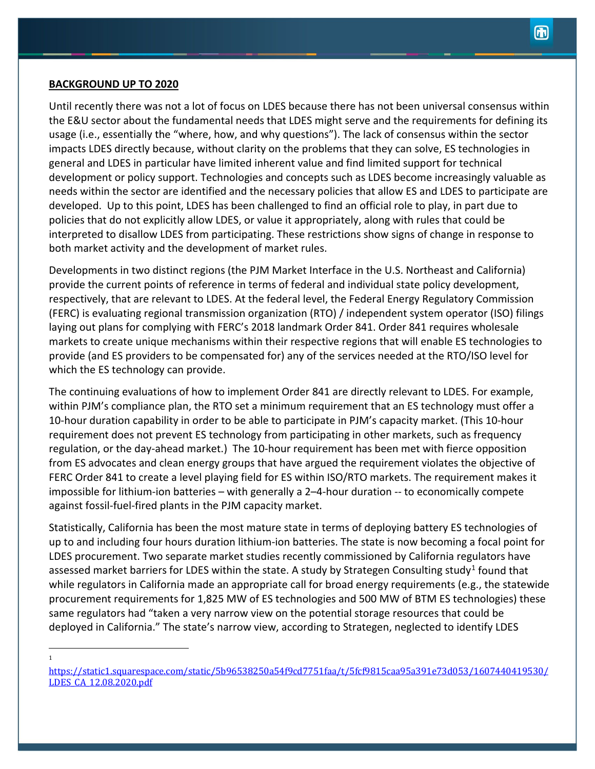#### **BACKGROUND UP TO 2020**

1

Until recently there was not a lot of focus on LDES because there has not been universal consensus within the E&U sector about the fundamental needs that LDES might serve and the requirements for defining its usage (i.e., essentially the "where, how, and why questions"). The lack of consensus within the sector impacts LDES directly because, without clarity on the problems that they can solve, ES technologies in general and LDES in particular have limited inherent value and find limited support for technical development or policy support. Technologies and concepts such as LDES become increasingly valuable as needs within the sector are identified and the necessary policies that allow ES and LDES to participate are developed. Up to this point, LDES has been challenged to find an official role to play, in part due to policies that do not explicitly allow LDES, or value it appropriately, along with rules that could be interpreted to disallow LDES from participating. These restrictions show signs of change in response to both market activity and the development of market rules.

Developments in two distinct regions (the PJM Market Interface in the U.S. Northeast and California) provide the current points of reference in terms of federal and individual state policy development, respectively, that are relevant to LDES. At the federal level, the Federal Energy Regulatory Commission (FERC) is evaluating regional transmission organization (RTO) / independent system operator (ISO) filings laying out plans for complying with FERC's 2018 landmark Order 841. Order 841 requires wholesale markets to create unique mechanisms within their respective regions that will enable ES technologies to provide (and ES providers to be compensated for) any of the services needed at the RTO/ISO level for which the ES technology can provide.

The continuing evaluations of how to implement Order 841 are directly relevant to LDES. For example, within PJM's compliance plan, the RTO set a minimum requirement that an ES technology must offer a 10-hour duration capability in order to be able to participate in PJM's capacity market. (This 10-hour requirement does not prevent ES technology from participating in other markets, such as frequency regulation, or the day-ahead market.) The 10-hour requirement has been met with fierce opposition from ES advocates and clean energy groups that have argued the requirement violates the objective of FERC Order 841 to create a level playing field for ES within ISO/RTO markets. The requirement makes it impossible for lithium-ion batteries – with generally a 2–4-hour duration -- to economically compete against fossil-fuel-fired plants in the PJM capacity market.

Statistically, California has been the most mature state in terms of deploying battery ES technologies of up to and including four hours duration lithium-ion batteries. The state is now becoming a focal point for LDES procurement. Two separate market studies recently commissioned by California regulators have assessed market barriers for LDES within the state. A study by Strategen Consulting study<sup>[1](#page-1-0)</sup> found that while regulators in California made an appropriate call for broad energy requirements (e.g., the statewide procurement requirements for 1,825 MW of ES technologies and 500 MW of BTM ES technologies) these same regulators had "taken a very narrow view on the potential storage resources that could be deployed in California." The state's narrow view, according to Strategen, neglected to identify LDES

<span id="page-1-0"></span>[https://static1.squarespace.com/static/5b96538250a54f9cd7751faa/t/5fcf9815caa95a391e73d053/1607440419530/](https://static1.squarespace.com/static/5b96538250a54f9cd7751faa/t/5fcf9815caa95a391e73d053/1607440419530/LDES_CA_12.08.2020.pdf) [LDES\\_CA\\_12.08.2020.pdf](https://static1.squarespace.com/static/5b96538250a54f9cd7751faa/t/5fcf9815caa95a391e73d053/1607440419530/LDES_CA_12.08.2020.pdf)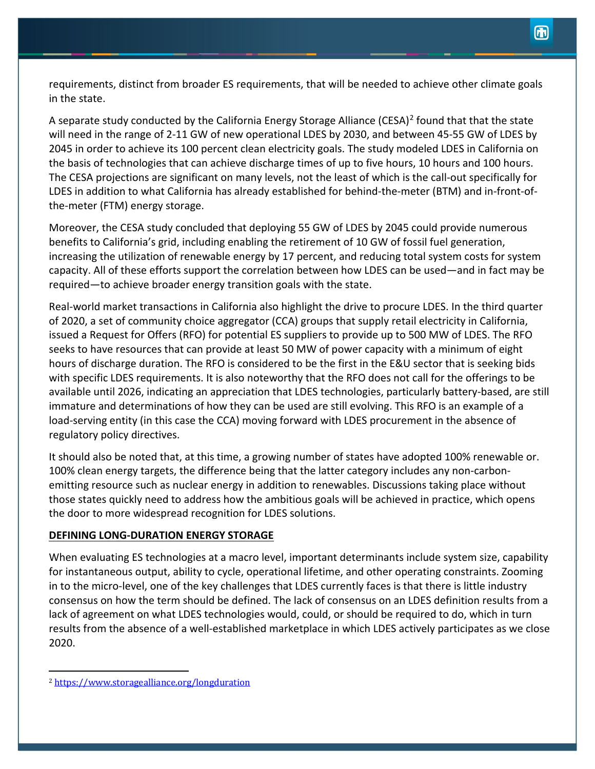requirements, distinct from broader ES requirements, that will be needed to achieve other climate goals in the state.

A separate study conducted by the California Energy Storage Alliance (CESA)<sup>[2](#page-2-0)</sup> found that that the state will need in the range of 2-11 GW of new operational LDES by 2030, and between 45-55 GW of LDES by 2045 in order to achieve its 100 percent clean electricity goals. The study modeled LDES in California on the basis of technologies that can achieve discharge times of up to five hours, 10 hours and 100 hours. The CESA projections are significant on many levels, not the least of which is the call-out specifically for LDES in addition to what California has already established for behind-the-meter (BTM) and in-front-ofthe-meter (FTM) energy storage.

Moreover, the CESA study concluded that deploying 55 GW of LDES by 2045 could provide numerous benefits to California's grid, including enabling the retirement of 10 GW of fossil fuel generation, increasing the utilization of renewable energy by 17 percent, and reducing total system costs for system capacity. All of these efforts support the correlation between how LDES can be used—and in fact may be required—to achieve broader energy transition goals with the state.

Real-world market transactions in California also highlight the drive to procure LDES. In the third quarter of 2020, a set of community choice aggregator (CCA) groups that supply retail electricity in California, issued a Request for Offers (RFO) for potential ES suppliers to provide up to 500 MW of LDES. The RFO seeks to have resources that can provide at least 50 MW of power capacity with a minimum of eight hours of discharge duration. The RFO is considered to be the first in the E&U sector that is seeking bids with specific LDES requirements. It is also noteworthy that the RFO does not call for the offerings to be available until 2026, indicating an appreciation that LDES technologies, particularly battery-based, are still immature and determinations of how they can be used are still evolving. This RFO is an example of a load-serving entity (in this case the CCA) moving forward with LDES procurement in the absence of regulatory policy directives.

It should also be noted that, at this time, a growing number of states have adopted 100% renewable or. 100% clean energy targets, the difference being that the latter category includes any non-carbonemitting resource such as nuclear energy in addition to renewables. Discussions taking place without those states quickly need to address how the ambitious goals will be achieved in practice, which opens the door to more widespread recognition for LDES solutions.

# **DEFINING LONG-DURATION ENERGY STORAGE**

When evaluating ES technologies at a macro level, important determinants include system size, capability for instantaneous output, ability to cycle, operational lifetime, and other operating constraints. Zooming in to the micro-level, one of the key challenges that LDES currently faces is that there is little industry consensus on how the term should be defined. The lack of consensus on an LDES definition results from a lack of agreement on what LDES technologies would, could, or should be required to do, which in turn results from the absence of a well-established marketplace in which LDES actively participates as we close 2020.

<span id="page-2-0"></span><sup>2</sup> <https://www.storagealliance.org/longduration>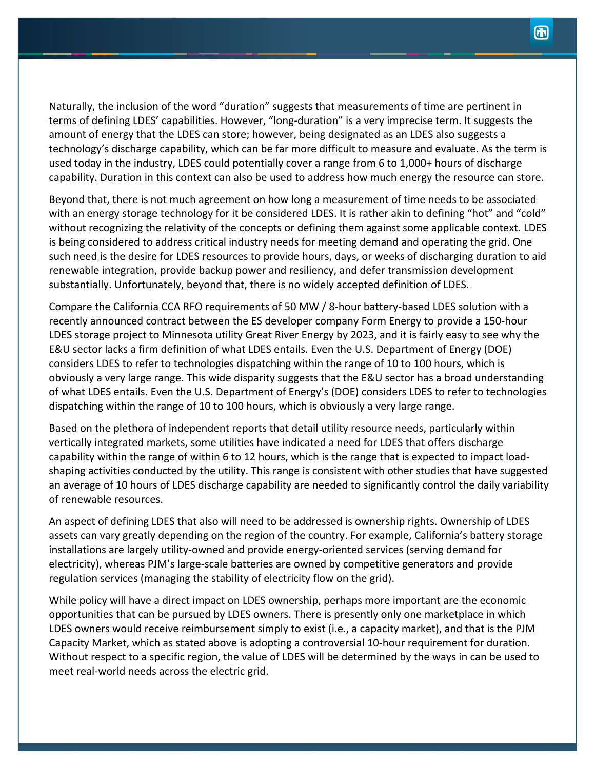Naturally, the inclusion of the word "duration" suggests that measurements of time are pertinent in terms of defining LDES' capabilities. However, "long-duration" is a very imprecise term. It suggests the amount of energy that the LDES can store; however, being designated as an LDES also suggests a technology's discharge capability, which can be far more difficult to measure and evaluate. As the term is used today in the industry, LDES could potentially cover a range from 6 to 1,000+ hours of discharge capability. Duration in this context can also be used to address how much energy the resource can store.

Beyond that, there is not much agreement on how long a measurement of time needs to be associated with an energy storage technology for it be considered LDES. It is rather akin to defining "hot" and "cold" without recognizing the relativity of the concepts or defining them against some applicable context. LDES is being considered to address critical industry needs for meeting demand and operating the grid. One such need is the desire for LDES resources to provide hours, days, or weeks of discharging duration to aid renewable integration, provide backup power and resiliency, and defer transmission development substantially. Unfortunately, beyond that, there is no widely accepted definition of LDES.

Compare the California CCA RFO requirements of 50 MW / 8-hour battery-based LDES solution with a recently announced contract between the ES developer company Form Energy to provide a 150-hour LDES storage project to Minnesota utility Great River Energy by 2023, and it is fairly easy to see why the E&U sector lacks a firm definition of what LDES entails. Even the U.S. Department of Energy (DOE) considers LDES to refer to technologies dispatching within the range of 10 to 100 hours, which is obviously a very large range. This wide disparity suggests that the E&U sector has a broad understanding of what LDES entails. Even the U.S. Department of Energy's (DOE) considers LDES to refer to technologies dispatching within the range of 10 to 100 hours, which is obviously a very large range.

Based on the plethora of independent reports that detail utility resource needs, particularly within vertically integrated markets, some utilities have indicated a need for LDES that offers discharge capability within the range of within 6 to 12 hours, which is the range that is expected to impact loadshaping activities conducted by the utility. This range is consistent with other studies that have suggested an average of 10 hours of LDES discharge capability are needed to significantly control the daily variability of renewable resources.

An aspect of defining LDES that also will need to be addressed is ownership rights. Ownership of LDES assets can vary greatly depending on the region of the country. For example, California's battery storage installations are largely utility-owned and provide energy-oriented services (serving demand for electricity), whereas PJM's large-scale batteries are owned by competitive generators and provide regulation services (managing the stability of electricity flow on the grid).

While policy will have a direct impact on LDES ownership, perhaps more important are the economic opportunities that can be pursued by LDES owners. There is presently only one marketplace in which LDES owners would receive reimbursement simply to exist (i.e., a capacity market), and that is the PJM Capacity Market, which as stated above is adopting a controversial 10-hour requirement for duration. Without respect to a specific region, the value of LDES will be determined by the ways in can be used to meet real-world needs across the electric grid.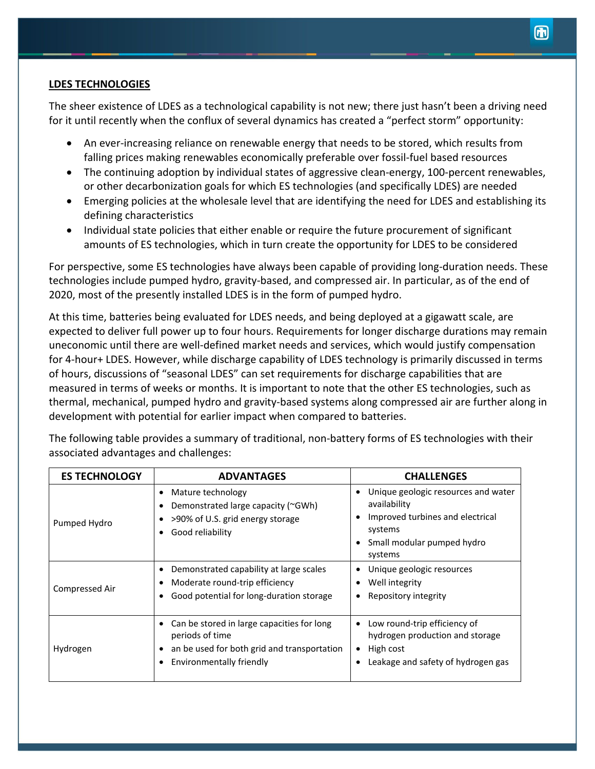## **LDES TECHNOLOGIES**

The sheer existence of LDES as a technological capability is not new; there just hasn't been a driving need for it until recently when the conflux of several dynamics has created a "perfect storm" opportunity:

- An ever-increasing reliance on renewable energy that needs to be stored, which results from falling prices making renewables economically preferable over fossil-fuel based resources
- The continuing adoption by individual states of aggressive clean-energy, 100-percent renewables, or other decarbonization goals for which ES technologies (and specifically LDES) are needed
- Emerging policies at the wholesale level that are identifying the need for LDES and establishing its defining characteristics
- Individual state policies that either enable or require the future procurement of significant amounts of ES technologies, which in turn create the opportunity for LDES to be considered

For perspective, some ES technologies have always been capable of providing long-duration needs. These technologies include pumped hydro, gravity-based, and compressed air. In particular, as of the end of 2020, most of the presently installed LDES is in the form of pumped hydro.

At this time, batteries being evaluated for LDES needs, and being deployed at a gigawatt scale, are expected to deliver full power up to four hours. Requirements for longer discharge durations may remain uneconomic until there are well-defined market needs and services, which would justify compensation for 4-hour+ LDES. However, while discharge capability of LDES technology is primarily discussed in terms of hours, discussions of "seasonal LDES" can set requirements for discharge capabilities that are measured in terms of weeks or months. It is important to note that the other ES technologies, such as thermal, mechanical, pumped hydro and gravity-based systems along compressed air are further along in development with potential for earlier impact when compared to batteries.

| <b>ES TECHNOLOGY</b> | <b>ADVANTAGES</b>                                                                                                                        | <b>CHALLENGES</b>                                                                                                                           |
|----------------------|------------------------------------------------------------------------------------------------------------------------------------------|---------------------------------------------------------------------------------------------------------------------------------------------|
| Pumped Hydro         | Mature technology<br>٠<br>Demonstrated large capacity (~GWh)<br>>90% of U.S. grid energy storage<br>Good reliability<br>$\bullet$        | Unique geologic resources and water<br>availability<br>Improved turbines and electrical<br>systems<br>Small modular pumped hydro<br>systems |
| Compressed Air       | Demonstrated capability at large scales<br>Moderate round-trip efficiency<br>Good potential for long-duration storage                    | Unique geologic resources<br>Well integrity<br>Repository integrity                                                                         |
| Hydrogen             | Can be stored in large capacities for long<br>periods of time<br>an be used for both grid and transportation<br>Environmentally friendly | Low round-trip efficiency of<br>hydrogen production and storage<br>High cost<br>Leakage and safety of hydrogen gas                          |

The following table provides a summary of traditional, non-battery forms of ES technologies with their associated advantages and challenges: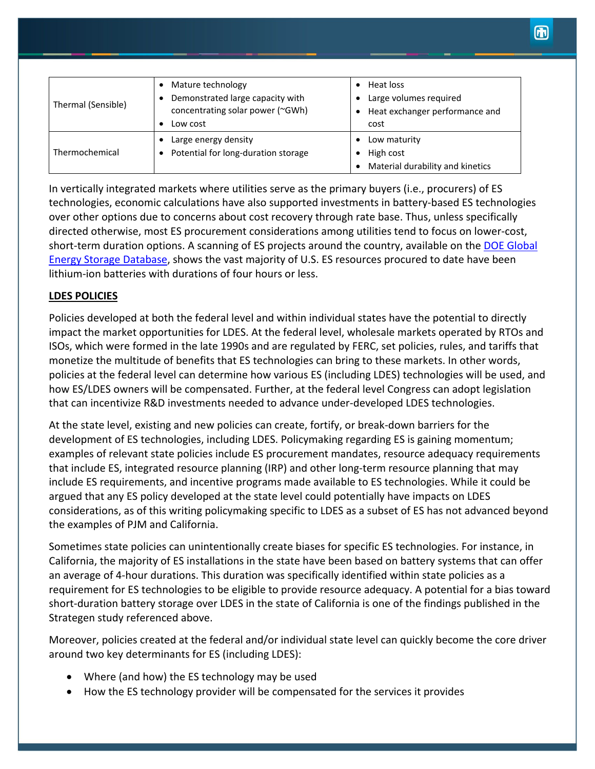| Thermal (Sensible) | Mature technology<br>Demonstrated large capacity with<br>concentrating solar power (~GWh)<br>Low cost | • Heat loss<br>• Large volumes required<br>• Heat exchanger performance and<br>cost |
|--------------------|-------------------------------------------------------------------------------------------------------|-------------------------------------------------------------------------------------|
| Thermochemical     | Large energy density<br>Potential for long-duration storage<br>$\bullet$                              | Low maturity<br>$\bullet$<br>High cost<br>Material durability and kinetics          |

In vertically integrated markets where utilities serve as the primary buyers (i.e., procurers) of ES technologies, economic calculations have also supported investments in battery-based ES technologies over other options due to concerns about cost recovery through rate base. Thus, unless specifically directed otherwise, most ES procurement considerations among utilities tend to focus on lower-cost, short-term duration options. A scanning of ES projects around the country, available on the [DOE Global](https://www.sandia.gov/ess-ssl/global-energy-storage-database/)  [Energy Storage Database,](https://www.sandia.gov/ess-ssl/global-energy-storage-database/) shows the vast majority of U.S. ES resources procured to date have been lithium-ion batteries with durations of four hours or less.

# **LDES POLICIES**

Policies developed at both the federal level and within individual states have the potential to directly impact the market opportunities for LDES. At the federal level, wholesale markets operated by RTOs and ISOs, which were formed in the late 1990s and are regulated by FERC, set policies, rules, and tariffs that monetize the multitude of benefits that ES technologies can bring to these markets. In other words, policies at the federal level can determine how various ES (including LDES) technologies will be used, and how ES/LDES owners will be compensated. Further, at the federal level Congress can adopt legislation that can incentivize R&D investments needed to advance under-developed LDES technologies.

At the state level, existing and new policies can create, fortify, or break-down barriers for the development of ES technologies, including LDES. Policymaking regarding ES is gaining momentum; examples of relevant state policies include ES procurement mandates, resource adequacy requirements that include ES, integrated resource planning (IRP) and other long-term resource planning that may include ES requirements, and incentive programs made available to ES technologies. While it could be argued that any ES policy developed at the state level could potentially have impacts on LDES considerations, as of this writing policymaking specific to LDES as a subset of ES has not advanced beyond the examples of PJM and California.

Sometimes state policies can unintentionally create biases for specific ES technologies. For instance, in California, the majority of ES installations in the state have been based on battery systems that can offer an average of 4-hour durations. This duration was specifically identified within state policies as a requirement for ES technologies to be eligible to provide resource adequacy. A potential for a bias toward short-duration battery storage over LDES in the state of California is one of the findings published in the Strategen study referenced above.

Moreover, policies created at the federal and/or individual state level can quickly become the core driver around two key determinants for ES (including LDES):

- Where (and how) the ES technology may be used
- How the ES technology provider will be compensated for the services it provides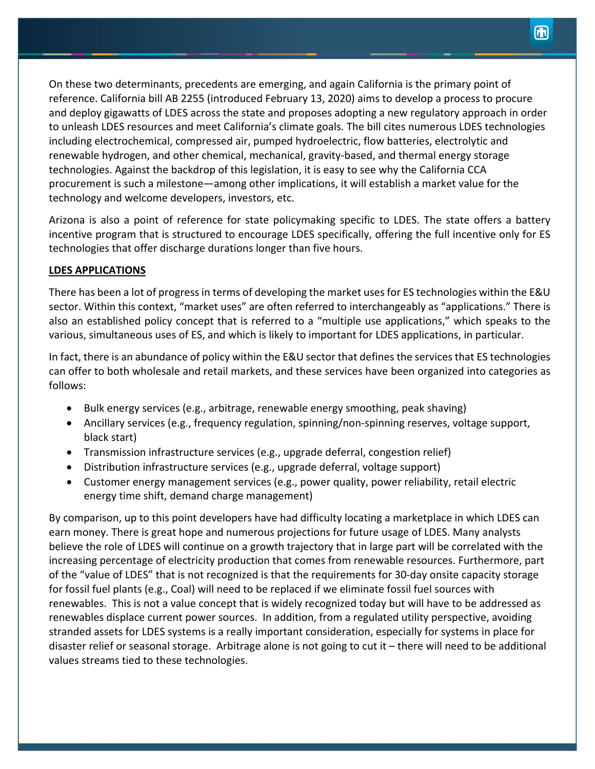On these two determinants, precedents are emerging, and again California is the primary point of reference. California bill AB 2255 (introduced February 13, 2020) aims to develop a process to procure and deploy gigawatts of LDES across the state and proposes adopting a new regulatory approach in order to unleash LDES resources and meet California's climate goals. The bill cites numerous LDES technologies including electrochemical, compressed air, pumped hydroelectric, flow batteries, electrolytic and renewable hydrogen, and other chemical, mechanical, gravity-based, and thermal energy storage technologies. Against the backdrop of this legislation, it is easy to see why the California CCA procurement is such a milestone—among other implications, it will establish a market value for the technology and welcome developers, investors, etc.

Arizona is also a point of reference for state policymaking specific to LDES. The state offers a battery incentive program that is structured to encourage LDES specifically, offering the full incentive only for ES technologies that offer discharge durations longer than five hours.

# **LDES APPLICATIONS**

There has been a lot of progress in terms of developing the market uses for ES technologies within the E&U sector. Within this context, "market uses" are often referred to interchangeably as "applications." There is also an established policy concept that is referred to a "multiple use applications," which speaks to the various, simultaneous uses of ES, and which is likely to important for LDES applications, in particular.

In fact, there is an abundance of policy within the E&U sector that defines the services that ES technologies can offer to both wholesale and retail markets, and these services have been organized into categories as follows:

- Bulk energy services (e.g., arbitrage, renewable energy smoothing, peak shaving)
- Ancillary services (e.g., frequency regulation, spinning/non-spinning reserves, voltage support, black start)
- Transmission infrastructure services (e.g., upgrade deferral, congestion relief)
- Distribution infrastructure services (e.g., upgrade deferral, voltage support)
- Customer energy management services (e.g., power quality, power reliability, retail electric energy time shift, demand charge management)

By comparison, up to this point developers have had difficulty locating a marketplace in which LDES can earn money. There is great hope and numerous projections for future usage of LDES. Many analysts believe the role of LDES will continue on a growth trajectory that in large part will be correlated with the increasing percentage of electricity production that comes from renewable resources. Furthermore, part of the "value of LDES" that is not recognized is that the requirements for 30-day onsite capacity storage for fossil fuel plants (e.g., Coal) will need to be replaced if we eliminate fossil fuel sources with renewables. This is not a value concept that is widely recognized today but will have to be addressed as renewables displace current power sources. In addition, from a regulated utility perspective, avoiding stranded assets for LDES systems is a really important consideration, especially for systems in place for disaster relief or seasonal storage. Arbitrage alone is not going to cut it – there will need to be additional values streams tied to these technologies.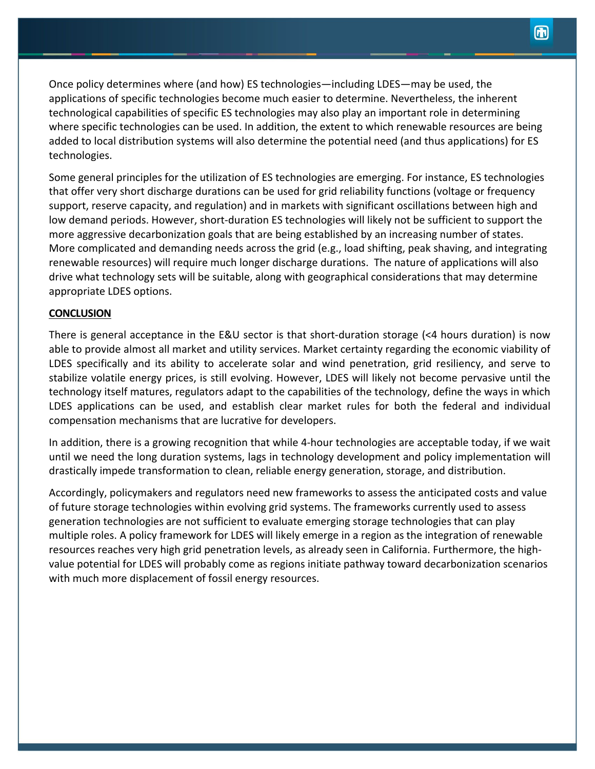Once policy determines where (and how) ES technologies—including LDES—may be used, the applications of specific technologies become much easier to determine. Nevertheless, the inherent technological capabilities of specific ES technologies may also play an important role in determining where specific technologies can be used. In addition, the extent to which renewable resources are being added to local distribution systems will also determine the potential need (and thus applications) for ES technologies.

Some general principles for the utilization of ES technologies are emerging. For instance, ES technologies that offer very short discharge durations can be used for grid reliability functions (voltage or frequency support, reserve capacity, and regulation) and in markets with significant oscillations between high and low demand periods. However, short-duration ES technologies will likely not be sufficient to support the more aggressive decarbonization goals that are being established by an increasing number of states. More complicated and demanding needs across the grid (e.g., load shifting, peak shaving, and integrating renewable resources) will require much longer discharge durations. The nature of applications will also drive what technology sets will be suitable, along with geographical considerations that may determine appropriate LDES options.

## **CONCLUSION**

There is general acceptance in the E&U sector is that short-duration storage (<4 hours duration) is now able to provide almost all market and utility services. Market certainty regarding the economic viability of LDES specifically and its ability to accelerate solar and wind penetration, grid resiliency, and serve to stabilize volatile energy prices, is still evolving. However, LDES will likely not become pervasive until the technology itself matures, regulators adapt to the capabilities of the technology, define the ways in which LDES applications can be used, and establish clear market rules for both the federal and individual compensation mechanisms that are lucrative for developers.

In addition, there is a growing recognition that while 4-hour technologies are acceptable today, if we wait until we need the long duration systems, lags in technology development and policy implementation will drastically impede transformation to clean, reliable energy generation, storage, and distribution.

Accordingly, policymakers and regulators need new frameworks to assess the anticipated costs and value of future storage technologies within evolving grid systems. The frameworks currently used to assess generation technologies are not sufficient to evaluate emerging storage technologies that can play multiple roles. A policy framework for LDES will likely emerge in a region as the integration of renewable resources reaches very high grid penetration levels, as already seen in California. Furthermore, the highvalue potential for LDES will probably come as regions initiate pathway toward decarbonization scenarios with much more displacement of fossil energy resources.